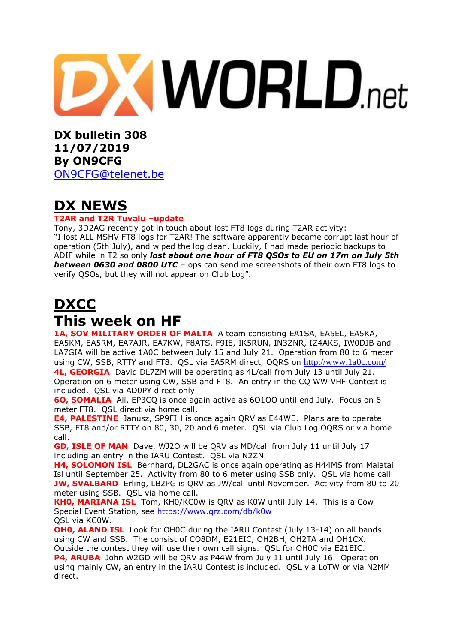

**DX bulletin 308 11/07/2019 By ON9CFG**  [ON9CFG@telenet.be](mailto:ON9CFG@telenet.be)

# **DX NEWS**

### **T2AR and T2R Tuvalu –update**

Tony, 3D2AG recently got in touch about lost FT8 logs during T2AR activity: "I lost ALL MSHV FT8 logs for T2AR! The software apparently became corrupt last hour of operation (5th July), and wiped the log clean. Luckily, I had made periodic backups to ADIF while in T2 so only *lost about one hour of FT8 QSOs to EU on 17m on July 5th between 0630 and 0800 UTC* – ops can send me screenshots of their own FT8 logs to verify QSOs, but they will not appear on Club Log".

# **DXCC This week on HF**

**1A, SOV MILITARY ORDER OF MALTA** A team consisting EA1SA, EA5EL, EA5KA, EA5KM, EA5RM, EA7AJR, EA7KW, F8ATS, F9IE, IK5RUN, IN3ZNR, IZ4AKS, IW0DJB and LA7GIA will be active 1A0C between July 15 and July 21. Operation from 80 to 6 meter using CW, SSB, RTTY and FT8. QSL via EA5RM direct, OQRS on <http://www.1a0c.com/> **4L, GEORGIA** David DL7ZM will be operating as 4L/call from July 13 until July 21. Operation on 6 meter using CW, SSB and FT8. An entry in the CQ WW VHF Contest is included. QSL via AD0PY direct only.

**6O, SOMALIA** Ali, EP3CQ is once again active as 6O1OO until end July. Focus on 6 meter FT8. QSL direct via home call.

**E4, PALESTINE** Janusz, SP9FIH is once again QRV as E44WE. Plans are to operate SSB, FT8 and/or RTTY on 80, 30, 20 and 6 meter. QSL via Club Log OQRS or via home call.

**GD, ISLE OF MAN** Dave, WJ2O will be QRV as MD/call from July 11 until July 17 including an entry in the IARU Contest. QSL via N2ZN.

**H4, SOLOMON ISL** Bernhard, DL2GAC is once again operating as H44MS from Malatai Isl until September 25. Activity from 80 to 6 meter using SSB only. QSL via home call. **JW, SVALBARD** Erling, LB2PG is QRV as JW/call until November. Activity from 80 to 20 meter using SSB. QSL via home call.

**KH0, MARIANA ISL** Tom, KH0/KC0W is QRV as K0W until July 14. This is a Cow Special Event Station, see<https://www.qrz.com/db/k0w> QSL via KC0W.

**OHO, ALAND ISL** Look for OHOC during the IARU Contest (July 13-14) on all bands using CW and SSB. The consist of CO8DM, E21EIC, OH2BH, OH2TA and OH1CX. Outside the contest they will use their own call signs. QSL for OH0C via E21EIC. **P4, ARUBA** John W2GD will be ORV as P44W from July 11 until July 16. Operation using mainly CW, an entry in the IARU Contest is included. QSL via LoTW or via N2MM direct.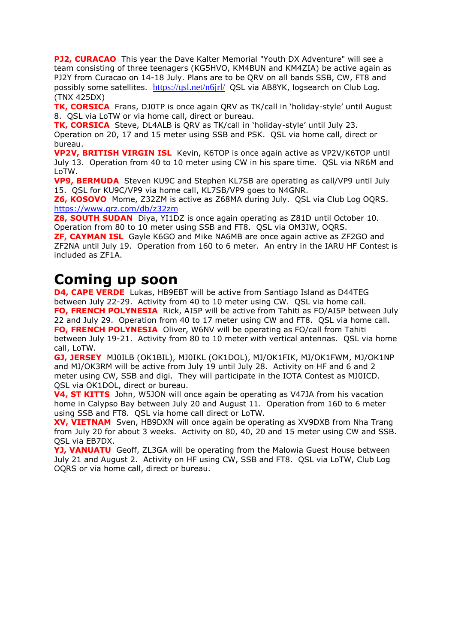**PJ2, CURACAO** This year the Dave Kalter Memorial "Youth DX Adventure" will see a team consisting of three teenagers (KG5HVO, KM4BUN and KM4ZIA) be active again as PJ2Y from Curacao on 14-18 July. Plans are to be QRV on all bands SSB, CW, FT8 and possibly some satellites. <https://qsl.net/n6jrl/>QSL via AB8YK, logsearch on Club Log. (TNX 425DX)

**TK, CORSICA** Frans, DJ0TP is once again QRV as TK/call in 'holiday-style' until August 8. QSL via LoTW or via home call, direct or bureau.

**TK, CORSICA** Steve, DL4ALB is QRV as TK/call in 'holiday-style' until July 23. Operation on 20, 17 and 15 meter using SSB and PSK. QSL via home call, direct or bureau.

**VP2V, BRITISH VIRGIN ISL** Kevin, K6TOP is once again active as VP2V/K6TOP until July 13. Operation from 40 to 10 meter using CW in his spare time. QSL via NR6M and LoTW.

**VP9, BERMUDA** Steven KU9C and Stephen KL7SB are operating as call/VP9 until July 15. QSL for KU9C/VP9 via home call, KL7SB/VP9 goes to N4GNR.

**Z6, KOSOVO** Mome, Z32ZM is active as Z68MA during July. QSL via Club Log OQRS. <https://www.qrz.com/db/z32zm>

**Z8, SOUTH SUDAN** Diya, YI1DZ is once again operating as Z81D until October 10. Operation from 80 to 10 meter using SSB and FT8. QSL via OM3JW, OQRS.

**ZF, CAYMAN ISL** Gayle K6GO and Mike NA6MB are once again active as ZF2GO and ZF2NA until July 19. Operation from 160 to 6 meter. An entry in the IARU HF Contest is included as ZF1A.

# **Coming up soon**

**D4, CAPE VERDE** Lukas, HB9EBT will be active from Santiago Island as D44TEG between July 22-29. Activity from 40 to 10 meter using CW. QSL via home call. **FO, FRENCH POLYNESIA** Rick, AI5P will be active from Tahiti as FO/AI5P between July 22 and July 29. Operation from 40 to 17 meter using CW and FT8. QSL via home call. **FO, FRENCH POLYNESIA** Oliver, W6NV will be operating as FO/call from Tahiti between July 19-21. Activity from 80 to 10 meter with vertical antennas. QSL via home call, LoTW.

**GJ, JERSEY** MJ0ILB (OK1BIL), MJ0IKL (OK1DOL), MJ/OK1FIK, MJ/OK1FWM, MJ/OK1NP and MJ/OK3RM will be active from July 19 until July 28. Activity on HF and 6 and 2 meter using CW, SSB and digi. They will participate in the IOTA Contest as MJ0ICD. QSL via OK1DOL, direct or bureau.

**V4, ST KITTS** John, W5JON will once again be operating as V47JA from his vacation home in Calypso Bay between July 20 and August 11. Operation from 160 to 6 meter using SSB and FT8. QSL via home call direct or LoTW.

**XV, VIETNAM** Sven, HB9DXN will once again be operating as XV9DXB from Nha Trang from July 20 for about 3 weeks. Activity on 80, 40, 20 and 15 meter using CW and SSB. QSL via EB7DX.

**YJ, VANUATU** Geoff, ZL3GA will be operating from the Malowia Guest House between July 21 and August 2. Activity on HF using CW, SSB and FT8. QSL via LoTW, Club Log OQRS or via home call, direct or bureau.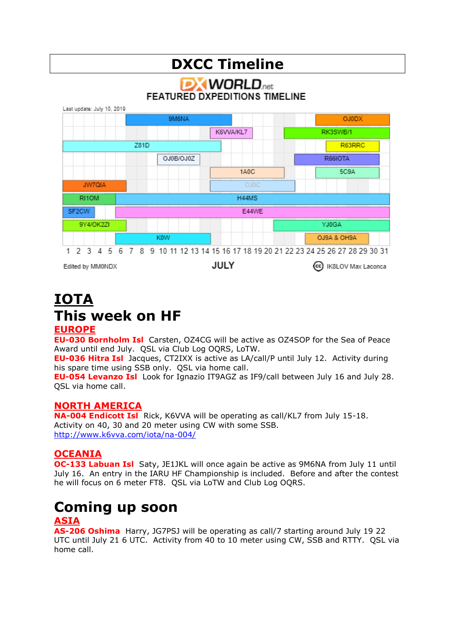

# **IOTA This week on HF EUROPE**

**EU-030 Bornholm Isl** Carsten, OZ4CG will be active as OZ4SOP for the Sea of Peace Award until end July. QSL via Club Log OQRS, LoTW.

**EU-036 Hitra Isl** Jacques, CT2IXX is active as LA/call/P until July 12. Activity during his spare time using SSB only. QSL via home call.

**EU-054 Levanzo Isl** Look for Ignazio IT9AGZ as IF9/call between July 16 and July 28. QSL via home call.

### **NORTH AMERICA**

**NA-004 Endicott Isl** Rick, K6VVA will be operating as call/KL7 from July 15-18. Activity on 40, 30 and 20 meter using CW with some SSB. <http://www.k6vva.com/iota/na-004/>

## **OCEANIA**

**OC-133 Labuan Isl** Saty, JE1JKL will once again be active as 9M6NA from July 11 until July 16. An entry in the IARU HF Championship is included. Before and after the contest he will focus on 6 meter FT8. QSL via LoTW and Club Log OQRS.

# **Coming up soon**

## **ASIA**

**AS-206 Oshima** Harry, JG7PSJ will be operating as call/7 starting around July 19 22 UTC until July 21 6 UTC. Activity from 40 to 10 meter using CW, SSB and RTTY. QSL via home call.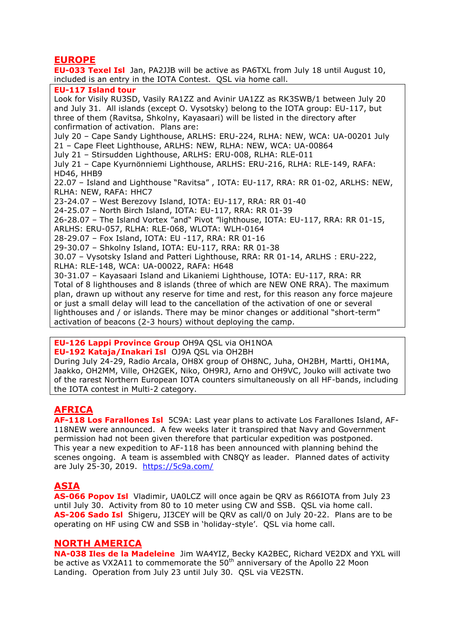### **EUROPE**

**EU-033 Texel Isl** Jan, PA2JJB will be active as PA6TXL from July 18 until August 10, included is an entry in the IOTA Contest. QSL via home call. **EU-117 Island tour** Look for Visily RU3SD, Vasily RA1ZZ and Avinir UA1ZZ as RK3SWB/1 between July 20 and July 31. All islands (except O. Vysotsky) belong to the IOTA group: EU-117, but three of them (Ravitsa, Shkolny, Kayasaari) will be listed in the directory after confirmation of activation. Plans are: July 20 – Cape Sandy Lighthouse, ARLHS: ERU-224, RLHA: NEW, WCA: UA-00201 July 21 – Cape Fleet Lighthouse, ARLHS: NEW, RLHA: NEW, WCA: UA-00864 July 21 – Stirsudden Lighthouse, ARLHS: ERU-008, RLHA: RLE-011 July 21 – Cape Kyurnönniemi Lighthouse, ARLHS: ERU-216, RLHA: RLE-149, RAFA: HD46, HHB9 22.07 – Island and Lighthouse "Ravitsa" , IOTA: EU-117, RRA: RR 01-02, ARLHS: NEW, RLHA: NEW, RAFA: HHC7 23-24.07 – West Berezovy Island, IOTA: EU-117, RRA: RR 01-40 24-25.07 – North Birch Island, IOTA: EU-117, RRA: RR 01-39 26-28.07 – The Island Vortex "and" Pivot "lighthouse, IOTA: EU-117, RRA: RR 01-15, ARLHS: ERU-057, RLHA: RLE-068, WLOTA: WLH-0164 28-29.07 – Fox Island, IOTA: EU -117, RRA: RR 01-16 29-30.07 – Shkolny Island, IOTA: EU-117, RRA: RR 01-38 30.07 – Vysotsky Island and Patteri Lighthouse, RRA: RR 01-14, ARLHS : ERU-222, RLHA: RLE-148, WCA: UA-00022, RAFA: H648 30-31.07 – Kayasaari Island and Likaniemi Lighthouse, IOTA: EU-117, RRA: RR

Total of 8 lighthouses and 8 islands (three of which are NEW ONE RRA). The maximum plan, drawn up without any reserve for time and rest, for this reason any force majeure or just a small delay will lead to the cancellation of the activation of one or several lighthouses and / or islands. There may be minor changes or additional "short-term" activation of beacons (2-3 hours) without deploying the camp.

**EU-126 Lappi Province Group** OH9A QSL via OH1NOA **EU-192 Kataja/Inakari Isl** OJ9A QSL via OH2BH

During July 24-29, Radio Arcala, OH8X group of OH8NC, Juha, OH2BH, Martti, OH1MA, Jaakko, OH2MM, Ville, OH2GEK, Niko, OH9RJ, Arno and OH9VC, Jouko will activate two of the rarest Northern European IOTA counters simultaneously on all HF-bands, including the IOTA contest in Multi-2 category.

## **AFRICA**

**AF-118 Los Farallones Isl** 5C9A: Last year plans to activate Los Farallones Island, AF-118NEW were announced. A few weeks later it transpired that Navy and Government permission had not been given therefore that particular expedition was postponed. This year a new expedition to AF-118 has been announced with planning behind the scenes ongoing. A team is assembled with CN8QY as leader. Planned dates of activity are July 25-30, 2019. <https://5c9a.com/>

## **ASIA**

**AS-066 Popov Isl** Vladimir, UA0LCZ will once again be QRV as R66IOTA from July 23 until July 30. Activity from 80 to 10 meter using CW and SSB. QSL via home call. **AS-206 Sado Isl** Shigeru, JI3CEY will be QRV as call/0 on July 20-22. Plans are to be operating on HF using CW and SSB in 'holiday-style'. QSL via home call.

### **NORTH AMERICA**

**NA-038 Iles de la Madeleine** Jim WA4YIZ, Becky KA2BEC, Richard VE2DX and YXL will be active as VX2A11 to commemorate the  $50<sup>th</sup>$  anniversary of the Apollo 22 Moon Landing. Operation from July 23 until July 30. QSL via VE2STN.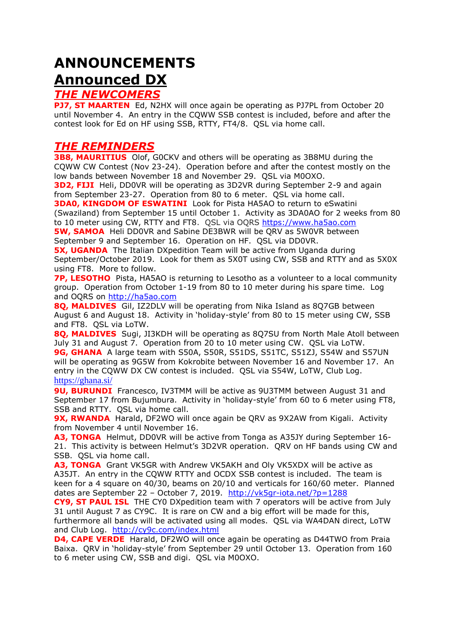# **ANNOUNCEMENTS Announced DX**

### *THE NEWCOMERS*

**PJ7. ST MAARTEN** Ed, N2HX will once again be operating as PJ7PL from October 20 until November 4. An entry in the CQWW SSB contest is included, before and after the contest look for Ed on HF using SSB, RTTY, FT4/8. QSL via home call.

### *THE REMINDERS*

**3B8, MAURITIUS** Olof, GOCKV and others will be operating as 3B8MU during the CQWW CW Contest (Nov 23-24). Operation before and after the contest mostly on the low bands between November 18 and November 29. QSL via M0OXO.

**3D2, FIJI** Heli, DD0VR will be operating as 3D2VR during September 2-9 and again from September 23-27. Operation from 80 to 6 meter. QSL via home call.

**3DA0, KINGDOM OF ESWATINI** Look for Pista HA5AO to return to eSwatini (Swaziland) from September 15 until October 1. Activity as 3DA0AO for 2 weeks from 80 to 10 meter using CW, RTTY and FT8. QSL via OQRS [https://www.ha5ao.com](https://www.ha5ao.com/)

**5W, SAMOA** Heli DD0VR and Sabine DE3BWR will be QRV as 5W0VR between September 9 and September 16. Operation on HF. QSL via DD0VR.

**5X, UGANDA** The Italian DXpedition Team will be active from Uganda during September/October 2019. Look for them as 5X0T using CW, SSB and RTTY and as 5X0X using FT8. More to follow.

**7P, LESOTHO** Pista, HA5AO is returning to Lesotho as a volunteer to a local community group. Operation from October 1-19 from 80 to 10 meter during his spare time. Log and OQRS on [http://ha5ao.com](http://ha5ao.com/)

**8Q, MALDIVES** Gil, IZ2DLV will be operating from Nika Island as 8Q7GB between August 6 and August 18. Activity in 'holiday-style' from 80 to 15 meter using CW, SSB and FT8. QSL via LoTW.

**8Q, MALDIVES** Sugi, JI3KDH will be operating as 8Q7SU from North Male Atoll between July 31 and August 7. Operation from 20 to 10 meter using CW. QSL via LoTW. 9G, GHANA A large team with S50A, S50R, S51DS, S51TC, S51ZJ, S54W and S57UN will be operating as 9G5W from Kokrobite between November 16 and November 17. An entry in the CQWW DX CW contest is included. QSL via S54W, LoTW, Club Log. <https://ghana.si/>

**9U, BURUNDI** Francesco, IV3TMM will be active as 9U3TMM between August 31 and September 17 from Bujumbura. Activity in 'holiday-style' from 60 to 6 meter using FT8, SSB and RTTY. OSL via home call.

**9X, RWANDA** Harald, DF2WO will once again be QRV as 9X2AW from Kigali. Activity from November 4 until November 16.

**A3, TONGA** Helmut, DD0VR will be active from Tonga as A35JY during September 16- 21. This activity is between Helmut's [3D2VR](https://dx-world.net/3d2vr-fiji/) operation. QRV on HF bands using CW and SSB. QSL via home call.

**A3, TONGA** Grant VK5GR with Andrew VK5AKH and Oly VK5XDX will be active as A35JT. An entry in the CQWW RTTY and OCDX SSB contest is included. The team is keen for a 4 square on 40/30, beams on 20/10 and verticals for 160/60 meter. Planned dates are September 22 – October 7, 2019. <http://vk5gr-iota.net/?p=1288>

**CY9, ST PAUL ISL** THE CY0 DXpedition team with 7 operators will be active from July 31 until August 7 as CY9C. It is rare on CW and a big effort will be made for this, furthermore all bands will be activated using all modes. QSL via WA4DAN direct, LoTW and Club Log. <http://cy9c.com/index.html>

**D4, CAPE VERDE** Harald, DF2WO will once again be operating as D44TWO from Praia Baixa. QRV in 'holiday-style' from September 29 until October 13. Operation from 160 to 6 meter using CW, SSB and digi. QSL via M0OXO.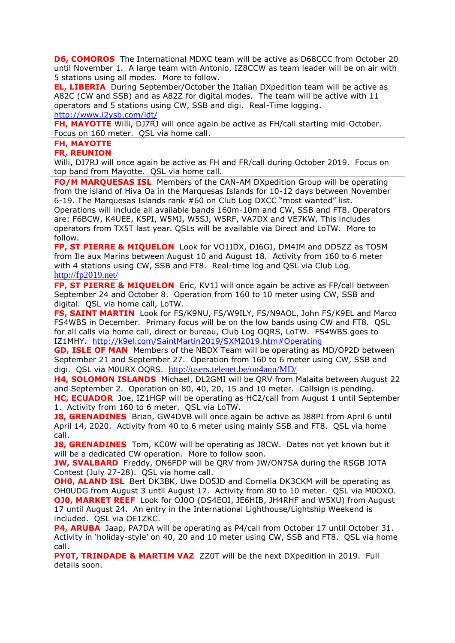**D6, COMOROS** The International MDXC team will be active as D68CCC from October 20 until November 1. A large team with Antonio, IZ8CCW as team leader will be on air with 5 stations using all modes. More to follow.

**EL, LIBERIA** During September/October the Italian DXpedition team will be active as A82C (CW and SSB) and as A82Z for digital modes. The team will be active with 11 operators and 5 stations using CW, SSB and digi. Real-Time logging. <http://www.i2ysb.com/idt/>

**FH, MAYOTTE** Willi, DJ7RJ will once again be active as FH/call starting mid-October. Focus on 160 meter. QSL via home call.

### **FH, MAYOTTE**

### **FR, REUNION**

Willi, DJ7RJ will once again be active as FH and FR/call during October 2019. Focus on top band from Mayotte. QSL via home call.

**FO/M MARQUESAS ISL** Members of the CAN-AM DXpedition Group will be operating from the island of Hiva Oa in the Marquesas Islands for 10-12 days between November 6-19. The Marquesas Islands rank #60 on Club Log DXCC "most wanted" list. Operations will include all available bands 160m-10m and CW, SSB and FT8. Operators are: F6BCW, K4UEE, K5PI, W5MJ, W5SJ, W5RF, VA7DX and VE7KW. This includes operators from TX5T last year. QSLs will be available via Direct and LoTW. More to follow.

**FP, ST PIERRE & MIQUELON** Look for VO1IDX, DJ6GI, DM4IM and DD5ZZ as TO5M from Ile aux Marins between August 10 and August 18. Activity from 160 to 6 meter with 4 stations using CW, SSB and FT8. Real-time log and QSL via Club Log. <http://fp2019.net/>

**FP, ST PIERRE & MIQUELON** Eric, KV1J will once again be active as FP/call between September 24 and October 8. Operation from 160 to 10 meter using CW, SSB and digital. QSL via home call, LoTW.

**FS, SAINT MARTIN** Look for FS/K9NU, FS/W9ILY, FS/N9AOL, John FS/K9EL and Marco FS4WBS in December. Primary focus will be on the low bands using CW and FT8. QSL for all calls via home call, direct or bureau, Club Log OQRS, LoTW. FS4WBS goes to IZ1MHY. <http://k9el.com/SaintMartin2019/SXM2019.htm#Operating>

**GD, ISLE OF MAN** Members of the NBDX Team will be operating as MD/OP2D between September 21 and September 27. Operation from 160 to 6 meter using CW, SSB and digi. QSL via M0URX OQRS. <http://users.telenet.be/on4ann/MD/>

**H4, SOLOMON ISLANDS** Michael, DL2GMI will be QRV from Malaita between August 22 and September 2. Operation on 80, 40, 20, 15 and 10 meter. Callsign is pending. **HC, ECUADOR** Joe, IZ1HGP will be operating as HC2/call from August 1 until September 1. Activity from 160 to 6 meter. QSL via LoTW.

**J8, GRENADINES** Brian, GW4DVB will once again be active as J88PI from April 6 until April 14, 2020. Activity from 40 to 6 meter using mainly SSB and FT8. QSL via home call.

**J8, GRENADINES** Tom, KC0W will be operating as J8CW. Dates not yet known but it will be a dedicated CW operation. More to follow soon.

**JW, SVALBARD** Freddy, ON6FDP will be QRV from JW/ON7SA during the RSGB IOTA Contest (July 27-28). QSL via home call.

**OHO, ALAND ISL** Bert DK3BK, Uwe DO5JD and Cornelia DK3CKM will be operating as OH0UDG from August 3 until August 17. Activity from 80 to 10 meter. QSL via M0OXO. **OJ0, MARKET REEF** Look for OJ0O (DS4EOI, JE6HIB, JH4RHF and W5XU) from August 17 until August 24. An entry in the International Lighthouse/Lightship Weekend is included. QSL via OE1ZKC.

**P4, ARUBA** Jaap, PA7DA will be operating as P4/call from October 17 until October 31. Activity in 'holiday-style' on 40, 20 and 10 meter using CW, SSB and FT8. QSL via home call.

**PY0T, TRINDADE & MARTIM VAZ** ZZ0T will be the next DXpedition in 2019. Full details soon.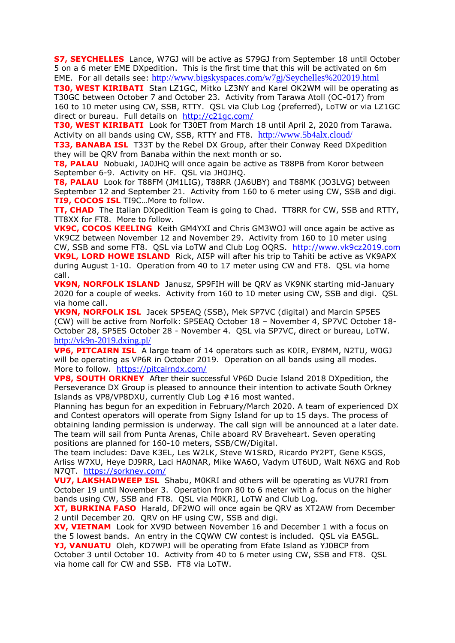**S7, SEYCHELLES** Lance, W7GJ will be active as S79GJ from September 18 until October 5 on a 6 meter EME DXpedition. This is the first time that this will be activated on 6m EME. For all details see: http://www.bigskyspaces.com/w7gj/Seychelles%202019.html

**T30, WEST KIRIBATI** Stan LZ1GC, Mitko LZ3NY and Karel OK2WM will be operating as T30GC between October 7 and October 23. Activity from Tarawa Atoll (OC-017) from 160 to 10 meter using CW, SSB, RTTY. QSL via Club Log (preferred), LoTW or via LZ1GC direct or bureau. Full details on <http://c21gc.com/>

**T30, WEST KIRIBATI** Look for T30ET from March 18 until April 2, 2020 from Tarawa. Activity on all bands using CW, SSB, RTTY and FT8. <http://www.5b4alx.cloud/>

**T33, BANABA ISL** T33T by the Rebel DX Group, after their Conway Reed DXpedition they will be QRV from Banaba within the next month or so.

**T8, PALAU** Nobuaki, JA0JHQ will once again be active as T88PB from Koror between September 6-9. Activity on HF. QSL via JH0JHQ.

**T8, PALAU** Look for T88FM (JM1LIG), T88RR (JA6UBY) and T88MK (JO3LVG) between September 12 and September 21. Activity from 160 to 6 meter using CW, SSB and digi. **TI9, COCOS ISL** TI9C…More to follow.

**TT, CHAD** The Italian DXpedition Team is going to Chad. TT8RR for CW, SSB and RTTY, TT8XX for FT8. More to follow.

**VK9C, COCOS KEELING** Keith GM4YXI and Chris GM3WOJ will once again be active as VK9CZ between November 12 and November 29. Activity from 160 to 10 meter using CW, SSB and some FT8. QSL via LoTW and Club Log OQRS. [http://www.vk9cz2019.com](http://www.vk9cz2019.com/) **VK9L, LORD HOWE ISLAND** Rick, AI5P will after his trip to Tahiti be active as VK9APX during August 1-10. Operation from 40 to 17 meter using CW and FT8. QSL via home call.

**VK9N, NORFOLK ISLAND** Janusz, SP9FIH will be QRV as VK9NK starting mid-January 2020 for a couple of weeks. Activity from 160 to 10 meter using CW, SSB and digi. QSL via home call.

**VK9N, NORFOLK ISL** Jacek SP5EAQ (SSB), Mek SP7VC (digital) and Marcin SP5ES (CW) will be active from Norfolk: SP5EAQ October 18 – November 4, SP7VC October 18- October 28, SP5ES October 28 - November 4. QSL via SP7VC, direct or bureau, LoTW. <http://vk9n-2019.dxing.pl/>

**VP6, PITCAIRN ISL** A large team of 14 operators such as K0IR, EY8MM, N2TU, W0GJ will be operating as VP6R in October 2019. Operation on all bands using all modes. More to follow. <https://pitcairndx.com/>

**VP8, SOUTH ORKNEY** After their successful VP6D Ducie Island 2018 DXpedition, the Perseverance DX Group is pleased to announce their intention to activate South Orkney Islands as VP8/VP8DXU, currently Club Log #16 most wanted.

Planning has begun for an expedition in February/March 2020. A team of experienced DX and Contest operators will operate from Signy Island for up to 15 days. The process of obtaining landing permission is underway. The call sign will be announced at a later date. The team will sail from Punta Arenas, Chile aboard RV Braveheart. Seven operating positions are planned for 160-10 meters, SSB/CW/Digital.

The team includes: Dave K3EL, Les W2LK, Steve W1SRD, Ricardo PY2PT, Gene K5GS, Arliss W7XU, Heye DJ9RR, Laci HA0NAR, Mike WA6O, Vadym UT6UD, Walt N6XG and Rob N7QT. <https://sorkney.com/>

**VU7, LAKSHADWEEP ISL** Shabu, M0KRI and others will be operating as VU7RI from October 19 until November 3. Operation from 80 to 6 meter with a focus on the higher bands using CW, SSB and FT8. QSL via M0KRI, LoTW and Club Log.

**XT, BURKINA FASO** Harald, DF2WO will once again be QRV as XT2AW from December 2 until December 20. QRV on HF using CW, SSB and digi.

**XV, VIETNAM** Look for XV9D between November 16 and December 1 with a focus on the 5 lowest bands. An entry in the CQWW CW contest is included. QSL via EA5GL. **YJ, VANUATU** Oleh, KD7WPJ will be operating from Efate Island as YJ0BCP from October 3 until October 10. Activity from 40 to 6 meter using CW, SSB and FT8. QSL via home call for CW and SSB. FT8 via LoTW.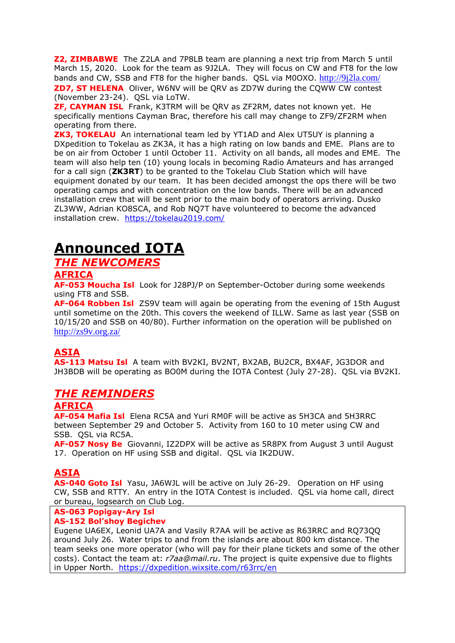**Z2, ZIMBABWE** The Z2LA and 7P8LB team are planning a next trip from March 5 until March 15, 2020. Look for the team as 9J2LA. They will focus on CW and FT8 for the low bands and CW, SSB and FT8 for the higher bands. QSL via M0OXO. <http://9j2la.com/> **ZD7, ST HELENA** Oliver, W6NV will be QRV as ZD7W during the CQWW CW contest (November 23-24). QSL via LoTW.

**ZF, CAYMAN ISL** Frank, K3TRM will be QRV as ZF2RM, dates not known yet. He specifically mentions Cayman Brac, therefore his call may change to ZF9/ZF2RM when operating from there.

**ZK3, TOKELAU** An international team led by YT1AD and Alex UT5UY is planning a DXpedition to Tokelau as ZK3A, it has a high rating on low bands and EME. Plans are to be on air from October 1 until October 11. Activity on all bands, all modes and EME. The team will also help ten (10) young locals in becoming Radio Amateurs and has arranged for a call sign (**ZK3RT**) to be granted to the Tokelau Club Station which will have equipment donated by our team. It has been decided amongst the ops there will be two operating camps and with concentration on the low bands. There will be an advanced installation crew that will be sent prior to the main body of operators arriving. Dusko ZL3WW, Adrian KO8SCA, and Rob NQ7T have volunteered to become the advanced installation crew. <https://tokelau2019.com/>

# **Announced IOTA**

# *THE NEWCOMERS*

### **AFRICA**

**AF-053 Moucha Isl** Look for J28PJ/P on September-October during some weekends using FT8 and SSB.

**AF-064 Robben Isl** ZS9V team will again be operating from the evening of 15th August until sometime on the 20th. This covers the weekend of ILLW. Same as last year (SSB on 10/15/20 and SSB on 40/80). Further information on the operation will be published on <http://zs9v.org.za/>

## **ASIA**

**AS-113 Matsu Isl** A team with BV2KI, BV2NT, BX2AB, BU2CR, BX4AF, JG3DOR and JH3BDB will be operating as BO0M during the IOTA Contest (July 27-28). QSL via BV2KI.

## *THE REMINDERS*

## **AFRICA**

**AF-054 Mafia Isl** Elena RC5A and Yuri RM0F will be active as 5H3CA and 5H3RRC between September 29 and October 5. Activity from 160 to 10 meter using CW and SSB. QSL via RC5A.

**AF-057 Nosy Be** Giovanni, IZ2DPX will be active as 5R8PX from August 3 until August 17. Operation on HF using SSB and digital. QSL via IK2DUW.

## **ASIA**

**AS-040 Goto Isl** Yasu, JA6WJL will be active on July 26-29. Operation on HF using CW, SSB and RTTY. An entry in the IOTA Contest is included. QSL via home call, direct or bureau, logsearch on Club Log.

### **AS-063 Popigay-Ary Isl**

### **AS-152 Bol'shoy Begichev**

Eugene UA6EX, Leonid UA7A and Vasily R7AA will be active as R63RRC and RQ73QQ around July 26. Water trips to and from the islands are about 800 km distance. The team seeks one more operator (who will pay for their plane tickets and some of the other costs). Contact the team at: *r7aa@mail.ru*. The project is quite expensive due to flights in Upper North. <https://dxpedition.wixsite.com/r63rrc/en>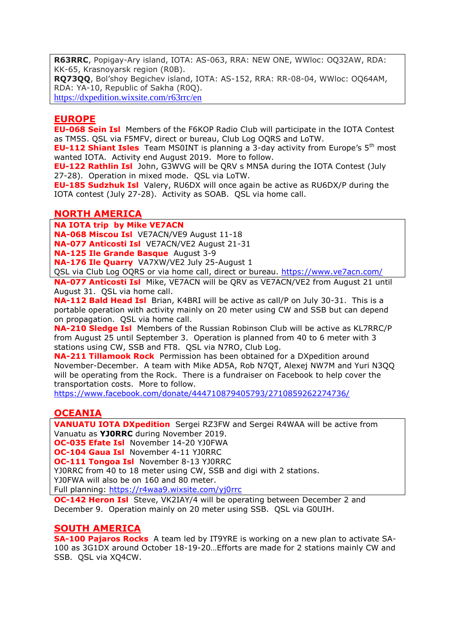**R63RRC**, Popigay-Ary island, IOTA: AS-063, RRA: NEW ONE, WWloc: OQ32AW, RDA: KK-65, Krasnoyarsk region (R0B).

**RQ73QQ**, Bol'shoy Begichev island, IOTA: AS-152, RRA: RR-08-04, WWloc: OQ64AM, RDA: YA-10, Republic of Sakha (R0Q).

<https://dxpedition.wixsite.com/r63rrc/en>

#### **EUROPE**

**EU-068 Sein Isl** Members of the F6KOP Radio Club will participate in the IOTA Contest as TM5S. QSL via F5MFV, direct or bureau, Club Log OQRS and LoTW.

**EU-112 Shiant Isles** Team MS0INT is planning a 3-day activity from Europe's 5<sup>th</sup> most wanted IOTA. Activity end August 2019. More to follow.

**EU-122 Rathlin Isl** John, G3WVG will be QRV s MN5A during the IOTA Contest (July 27-28). Operation in mixed mode. QSL via LoTW.

**EU-185 Sudzhuk Isl** Valery, RU6DX will once again be active as RU6DX/P during the IOTA contest (July 27-28). Activity as SOAB. QSL via home call.

#### **NORTH AMERICA**

**NA IOTA trip by Mike VE7ACN**

**NA-068 Miscou Isl** VE7ACN/VE9 August 11-18

**NA-077 Anticosti Isl** VE7ACN/VE2 August 21-31

**NA-125 Ile Grande Basque** August 3-9

**NA-176 Ile Quarry** VA7XW/VE2 July 25-August 1

QSL via Club Log OQRS or via home call, direct or bureau.<https://www.ve7acn.com/>

**NA-077 Anticosti Isl** Mike, VE7ACN will be QRV as VE7ACN/VE2 from August 21 until August 31. QSL via home call.

**NA-112 Bald Head Isl** Brian, K4BRI will be active as call/P on July 30-31. This is a portable operation with activity mainly on 20 meter using CW and SSB but can depend on propagation. QSL via home call.

**NA-210 Sledge Isl** Members of the Russian Robinson Club will be active as KL7RRC/P from August 25 until September 3. Operation is planned from 40 to 6 meter with 3 stations using CW, SSB and FT8. QSL via N7RO, Club Log.

**NA-211 Tillamook Rock** Permission has been obtained for a DXpedition around November-December. A team with Mike AD5A, Rob N7QT, Alexej NW7M and Yuri N3QQ will be operating from the Rock. There is a fundraiser on Facebook to help cover the transportation costs. More to follow.

<https://www.facebook.com/donate/444710879405793/2710859262274736/>

### **OCEANIA**

**VANUATU IOTA DXpedition** Sergei RZ3FW and Sergei R4WAA will be active from Vanuatu as **YJ0RRC** during November 2019.

**OC-035 Efate Isl** November 14-20 YJ0FWA

**OC-104 Gaua Isl** November 4-11 YJ0RRC

**OC-111 Tongoa Isl** November 8-13 YJ0RRC

YJ0RRC from 40 to 18 meter using CW, SSB and digi with 2 stations.

YJ0FWA will also be on 160 and 80 meter.

Full planning:<https://r4waa9.wixsite.com/yj0rrc>

**OC-142 Heron Isl** Steve, VK2IAY/4 will be operating between December 2 and December 9. Operation mainly on 20 meter using SSB. QSL via G0UIH.

### **SOUTH AMERICA**

**SA-100 Pajaros Rocks** A team led by IT9YRE is working on a new plan to activate SA-100 as 3G1DX around October 18-19-20…Efforts are made for 2 stations mainly CW and SSB. QSL via XQ4CW.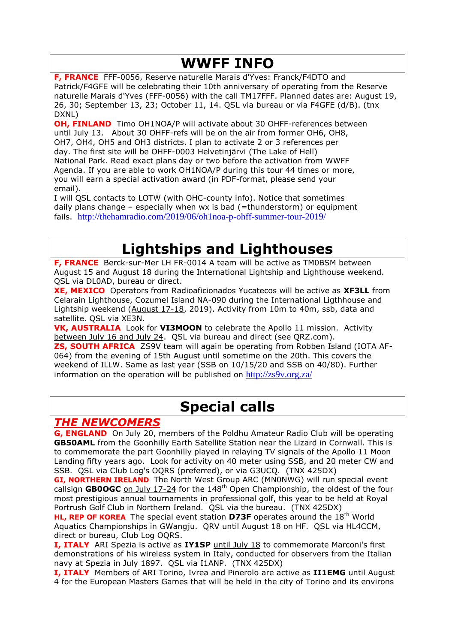# **WWFF INFO**

**F, FRANCE** FFF-0056, Reserve naturelle Marais d'Yves: Franck/F4DTO and Patrick/F4GFE will be celebrating their 10th anniversary of operating from the Reserve naturelle Marais d'Yves (FFF-0056) with the call TM17FFF. Planned dates are: August 19, 26, 30; September 13, 23; October 11, 14. QSL via bureau or via F4GFE (d/B). (tnx DXNL)

**OH, FINLAND** Timo OH1NOA/P will activate about 30 OHFF-references between until July 13. About 30 OHFF-refs will be on the air from former OH6, OH8, OH7, OH4, OH5 and OH3 districts. I plan to activate 2 or 3 references per day. The first site will be OHFF-0003 Helvetinjärvi (The Lake of Hell) National Park. Read exact plans day or two before the activation from WWFF Agenda. If you are able to work OH1NOA/P during this tour 44 times or more, you will earn a special activation award (in PDF-format, please send your email).

I will QSL contacts to LOTW (with OHC-county info). Notice that sometimes daily plans change – especially when wx is bad (=thunderstorm) or equipment fails. <http://thehamradio.com/2019/06/oh1noa-p-ohff-summer-tour-2019/>

# **Lightships and Lighthouses**

**F, FRANCE** Berck-sur-Mer LH FR-0014 A team will be active as TM0BSM between August 15 and August 18 during the International Lightship and Lighthouse weekend. QSL via DL0AD, bureau or direct.

**XE, MEXICO** Operators from Radioaficionados Yucatecos will be active as **XF3LL** from Celarain Lighthouse, Cozumel Island NA-090 during the International Ligthhouse and Lightship weekend (August 17-18, 2019). Activity from 10m to 40m, ssb, data and satellite. QSL via XE3N.

**VK, AUSTRALIA** Look for **VI3MOON** to celebrate the Apollo 11 mission. Activity between July 16 and July 24. QSL via bureau and direct (see QRZ.com). **ZS, SOUTH AFRICA** ZS9V team will again be operating from Robben Island (IOTA AF-064) from the evening of 15th August until sometime on the 20th. This covers the weekend of ILLW. Same as last year (SSB on 10/15/20 and SSB on 40/80). Further information on the operation will be published on  $\frac{http://zs9v.org.za/}{$  $\frac{http://zs9v.org.za/}{$  $\frac{http://zs9v.org.za/}{$ 

# **Special calls**

## *THE NEWCOMERS*

**G, ENGLAND** On July 20, members of the Poldhu Amateur Radio Club will be operating **GB50AML** from the Goonhilly Earth Satellite Station near the Lizard in Cornwall. This is to commemorate the part Goonhilly played in relaying TV signals of the Apollo 11 Moon Landing fifty years ago. Look for activity on 40 meter using SSB, and 20 meter CW and SSB. QSL via Club Log's OQRS (preferred), or via G3UCQ. (TNX 425DX)

**GI, NORTHERN IRELAND** The North West Group ARC (MN0NWG) will run special event callsign **GB0OGC** on July 17-24 for the 148<sup>th</sup> Open Championship, the oldest of the four most prestigious annual tournaments in professional golf, this year to be held at Royal Portrush Golf Club in Northern Ireland. QSL via the bureau. (TNX 425DX)

**HL, REP OF KOREA** The special event station **D73F** operates around the 18th World Aquatics Championships in GWangju. QRV until August 18 on HF. QSL via HL4CCM, direct or bureau, Club Log OQRS.

**I, ITALY** ARI Spezia is active as **IY1SP** until July 18 to commemorate Marconi's first demonstrations of his wireless system in Italy, conducted for observers from the Italian navy at Spezia in July 1897. QSL via I1ANP. (TNX 425DX)

**I, ITALY** Members of ARI Torino, Ivrea and Pinerolo are active as **II1EMG** until August 4 for the European Masters Games that will be held in the city of Torino and its environs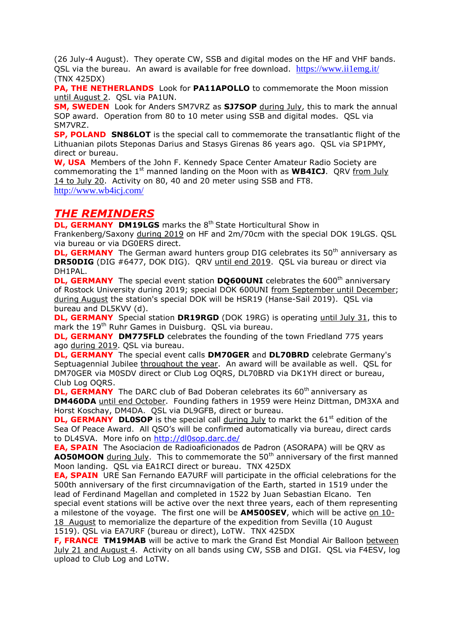(26 July-4 August). They operate CW, SSB and digital modes on the HF and VHF bands. OSL via the bureau. An award is available for free download. https://www.ii1emg.it/ (TNX 425DX)

**PA, THE NETHERLANDS** Look for **PA11APOLLO** to commemorate the Moon mission until August 2. QSL via PA1UN.

**SM, SWEDEN** Look for Anders SM7VRZ as **SJ7SOP** during July, this to mark the annual SOP award. Operation from 80 to 10 meter using SSB and digital modes. QSL via SM7VRZ.

**SP, POLAND SN86LOT** is the special call to commemorate the transatlantic flight of the Lithuanian pilots Steponas Darius and Stasys Girenas 86 years ago. QSL via SP1PMY, direct or bureau.

**W, USA** Members of the John F. Kennedy Space Center Amateur Radio Society are commemorating the 1<sup>st</sup> manned landing on the Moon with as **WB4ICJ**. QRV from July 14 to July 20. Activity on 80, 40 and 20 meter using SSB and FT8. <http://www.wb4icj.com/>

### *THE REMINDERS*

**DL, GERMANY DM19LGS** marks the 8<sup>th</sup> State Horticultural Show in Frankenberg/Saxony during 2019 on HF and 2m/70cm with the special DOK 19LGS. QSL via bureau or via DG0ERS direct.

**DL, GERMANY** The German award hunters group DIG celebrates its 50<sup>th</sup> anniversary as **DR50DIG** (DIG #6477, DOK DIG). QRV until end 2019. QSL via bureau or direct via DH1PAL.

**DL, GERMANY** The special event station **DO600UNI** celebrates the 600<sup>th</sup> anniversary of Rostock University during 2019; special DOK 600UNI from September until December; during August the station's special DOK will be HSR19 (Hanse-Sail 2019). QSL via bureau and DL5KVV (d).

**DL, GERMANY** Special station DR19RGD (DOK 19RG) is operating until July 31, this to mark the 19th Ruhr Games in Duisburg. QSL via bureau.

**DL, GERMANY DM775FLD** celebrates the founding of the town Friedland 775 years ago during 2019. QSL via bureau.

**DL, GERMANY** The special event calls **DM70GER** and **DL70BRD** celebrate Germany's Septuagennial Jubilee throughout the year. An award will be available as well. QSL for DM70GER via M0SDV direct or Club Log OQRS, DL70BRD via DK1YH direct or bureau, Club Log OQRS.

**DL, GERMANY** The DARC club of Bad Doberan celebrates its 60<sup>th</sup> anniversary as **DM460DA** until end October. Founding fathers in 1959 were Heinz Dittman, DM3XA and Horst Koschay, DM4DA. QSL via DL9GFB, direct or bureau.

**DL, GERMANY DL0SOP** is the special call during July to markt the 61<sup>st</sup> edition of the Sea Of Peace Award. All QSO's will be confirmed automatically via bureau, direct cards to DL4SVA. More info on<http://dl0sop.darc.de/>

**EA, SPAIN** The Asociacion de Radioaficionados de Padron (ASORAPA) will be QRV as **AO50MOON** during July. This to commemorate the 50<sup>th</sup> anniversary of the first manned Moon landing. QSL via EA1RCI direct or bureau. TNX 425DX

**EA, SPAIN** URE San Fernando EA7URF will participate in the official celebrations for the 500th anniversary of the first circumnavigation of the Earth, started in 1519 under the lead of Ferdinand Magellan and completed in 1522 by Juan Sebastian Elcano. Ten special event stations will be active over the next three years, each of them representing a milestone of the voyage. The first one will be **AM500SEV**, which will be active on 10- 18 August to memorialize the departure of the expedition from Sevilla (10 August 1519). QSL via EA7URF (bureau or direct), LoTW. TNX 425DX

**F, FRANCE TM19MAB** will be active to mark the Grand Est Mondial Air Balloon between July 21 and August 4. Activity on all bands using CW, SSB and DIGI. QSL via F4ESV, log upload to Club Log and LoTW.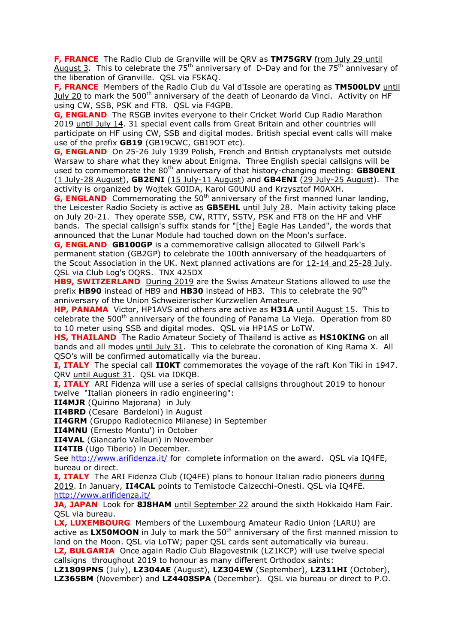**F, FRANCE** The Radio Club de Granville will be QRV as **TM75GRV** from July 29 until August 3. This to celebrate the  $75<sup>th</sup>$  anniversary of D-Day and for the  $75<sup>th</sup>$  annivesary of the liberation of Granville. QSL via F5KAQ.

**F, FRANCE** Members of the Radio Club du Val d'Issole are operating as **TM500LDV** until July 20 to mark the 500<sup>th</sup> anniversary of the death of Leonardo da Vinci. Activity on HF using CW, SSB, PSK and FT8. QSL via F4GPB.

**G, ENGLAND** The RSGB invites everyone to their Cricket World Cup Radio Marathon 2019 until July 14. 31 special event calls from Great Britain and other countries will participate on HF using CW, SSB and digital modes. British special event calls will make use of the prefix **GB19** (GB19CWC, GB19OT etc).

**G, ENGLAND** On 25-26 July 1939 Polish, French and British cryptanalysts met outside Warsaw to share what they knew about Enigma. Three English special callsigns will be used to commemorate the 80<sup>th</sup> anniversary of that history-changing meeting: **GB80ENI** (1 July-28 August), **GB2ENI** (15 July-11 August) and **GB4ENI** (29 July-25 August). The activity is organized by Wojtek G0IDA, Karol G0UNU and Krzysztof M0AXH.

**G, ENGLAND** Commemorating the 50<sup>th</sup> anniversary of the first manned lunar landing, the Leicester Radio Society is active as **GB5EHL** until July 28. Main activity taking place on July 20-21. They operate SSB, CW, RTTY, SSTV, PSK and FT8 on the HF and VHF bands. The special callsign's suffix stands for "[the] Eagle Has Landed", the words that announced that the Lunar Module had touched down on the Moon's surface.

**G, ENGLAND GB100GP** is a commemorative callsign allocated to Gilwell Park's permanent station (GB2GP) to celebrate the 100th anniversary of the headquarters of the Scout Association in the UK. Next planned activations are for 12-14 and 25-28 July. QSL via Club Log's OQRS. TNX 425DX

**HB9, SWITZERLAND** During 2019 are the Swiss Amateur Stations allowed to use the prefix HB90 instead of HB9 and HB30 instead of HB3. This to celebrate the 90<sup>th</sup> anniversary of the Union Schweizerischer Kurzwellen Amateure.

**HP, PANAMA** Victor, HP1AVS and others are active as **H31A** until August 15. This to celebrate the  $500<sup>th</sup>$  anniversary of the founding of Panama La Vieja. Operation from 80 to 10 meter using SSB and digital modes. QSL via HP1AS or LoTW.

**HS, THAILAND** The Radio Amateur Society of Thailand is active as **HS10KING** on all bands and all modes until July 31. This to celebrate the coronation of King Rama X. All QSO's will be confirmed automatically via the bureau.

**I, ITALY** The special call **II0KT** commemorates the voyage of the raft Kon Tiki in 1947. QRV until August 31. QSL via I0KQB.

**I, ITALY** ARI Fidenza will use a series of special callsigns throughout 2019 to honour twelve "Italian pioneers in radio engineering":

**II4MJR** (Quirino Majorana) in July

**II4BRD** (Cesare Bardeloni) in August

**II4GRM** (Gruppo Radiotecnico Milanese) in September

**II4MNU** (Ernesto Montu') in October

**II4VAL** (Giancarlo Vallauri) in November

**II4TIB** (Ugo Tiberio) in December.

See<http://www.arifidenza.it/> for complete information on the award. QSL via IQ4FE, bureau or direct.

**I, ITALY** The ARI Fidenza Club (IQ4FE) plans to honour Italian radio pioneers during 2019. In January, **II4CAL** points to Temistocle Calzecchi-Onesti. QSL via IQ4FE. <http://www.arifidenza.it/>

**JA, JAPAN** Look for 8J8HAM until September 22 around the sixth Hokkaido Ham Fair. QSL via bureau.

**LX, LUXEMBOURG** Members of the Luxembourg Amateur Radio Union (LARU) are active as LX50MOON in July to mark the 50<sup>th</sup> anniversary of the first manned mission to land on the Moon. QSL via LoTW; paper QSL cards sent automatically via bureau.

**LZ, BULGARIA** Once again Radio Club Blagovestnik (LZ1KCP) will use twelve special callsigns throughout 2019 to honour as many different Orthodox saints:

**LZ1809PNS** (July), **LZ304AE** (August), **LZ304EW** (September), **LZ311HI** (October), **LZ365BM** (November) and **LZ4408SPA** (December). QSL via bureau or direct to P.O.